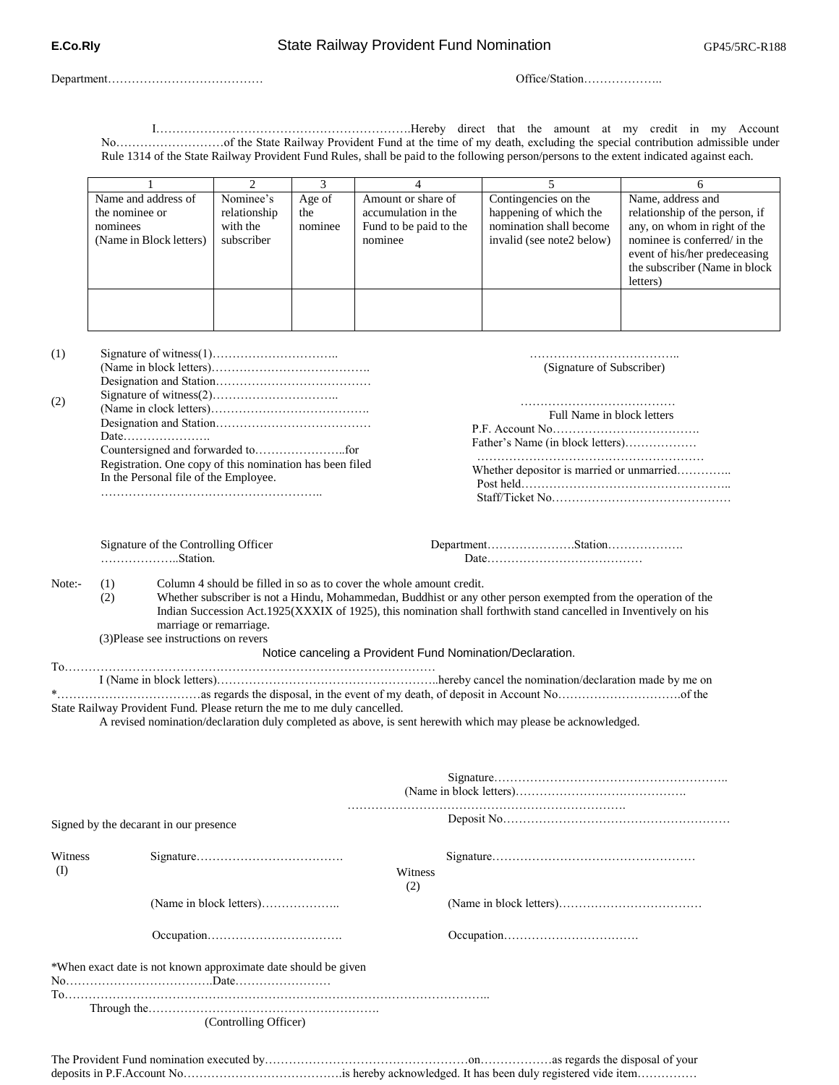Department…………………………………

Office/Station………………..

……………………………….. (Signature of Subscriber)

 ………………………………… Full Name in block letters

P.F. Account No………………………………. Father's Name (in block letters)……………… ………………………………………………… Whether depositor is married or unmarried………….. Post held…………………………………………….. Staff/Ticket No………………………………………

I……………………………………………………….Hereby direct that the amount at my credit in my Account No………………………of the State Railway Provident Fund at the time of my death, excluding the special contribution admissible under Rule 1314 of the State Railway Provident Fund Rules, shall be paid to the following person/persons to the extent indicated against each.

| Name and address of<br>the nominee or<br>nominees<br>(Name in Block letters) | Nominee's<br>relationship<br>with the<br>subscriber | Age of<br>the<br>nominee | Amount or share of<br>accumulation in the<br>Fund to be paid to the<br>nominee | Contingencies on the<br>happening of which the<br>nomination shall become<br>invalid (see note2 below) | Name, address and<br>relationship of the person, if<br>any, on whom in right of the<br>nominee is conferred/ in the<br>event of his/her predeceasing<br>the subscriber (Name in block)<br>letters) |
|------------------------------------------------------------------------------|-----------------------------------------------------|--------------------------|--------------------------------------------------------------------------------|--------------------------------------------------------------------------------------------------------|----------------------------------------------------------------------------------------------------------------------------------------------------------------------------------------------------|
|                                                                              |                                                     |                          |                                                                                |                                                                                                        |                                                                                                                                                                                                    |

(1) (2) Signature of witness(1)………………………….. (Name in block letters)…………………………………. Designation and Station………………………………… Signature of witness(2)………………………….. (Name in clock letters)…………………………………. Designation and Station………………………………… Date…………………. Countersigned and forwarded to…………………..for Registration. One copy of this nomination has been filed In the Personal file of the Employee.

………………………………………………..

Signature of the Controlling Officer ………………..Station.

Department………………….Station………………. Date…………………………………

Note:- (1) Column 4 should be filled in so as to cover the whole amount credit. Whether subscriber is not a Hindu, Mohammedan, Buddhist or any other person exempted from the operation of the (1) (2)

 Indian Succession Act.1925(XXXIX of 1925), this nomination shall forthwith stand cancelled in Inventively on his marriage or remarriage. (3)Please see instructions on revers

Notice canceling a Provident Fund Nomination/Declaration.

To…………………………………………………………………………………

 I (Name in block letters)………………………………………………..hereby cancel the nomination/declaration made by me on \*………………………………as regards the disposal, in the event of my death, of deposit in Account No………………………….of the State Railway Provident Fund. Please return the me to me duly cancelled.

A revised nomination/declaration duly completed as above, is sent herewith which may please be acknowledged.

|                | Signed by the decarant in our presence                         |  |  |
|----------------|----------------------------------------------------------------|--|--|
| Witness<br>(I) |                                                                |  |  |
|                |                                                                |  |  |
|                |                                                                |  |  |
|                | *When exact date is not known approximate date should be given |  |  |
|                | (Controlling Officer)                                          |  |  |

The Provident Fund nomination executed by……………………………………………on………………as regards the disposal of your deposits in P.F.Account No………………………………….is hereby acknowledged. It has been duly registered vide item……………